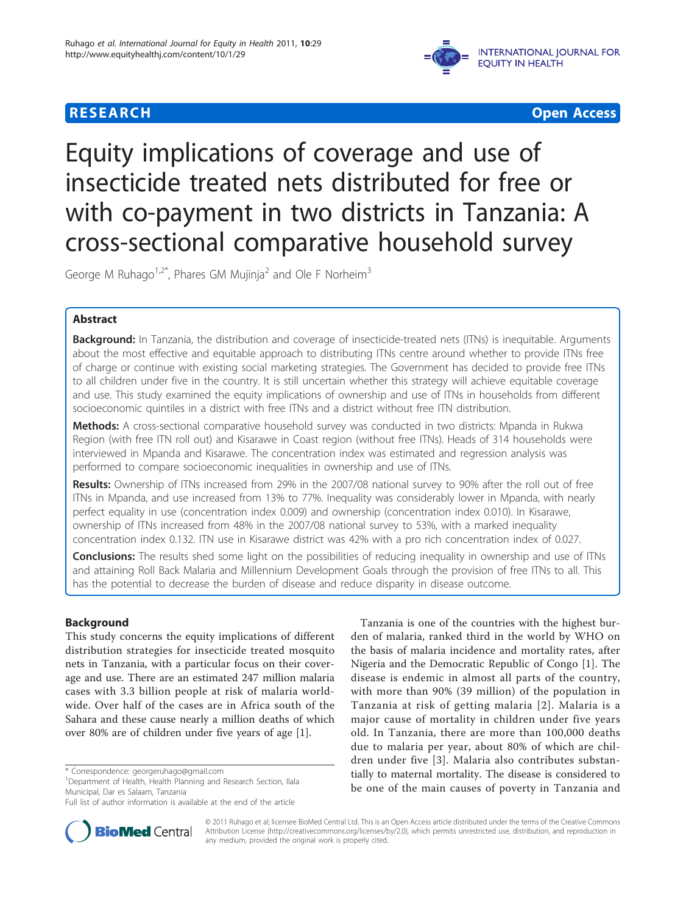

# **RESEARCH CONTROL** CONTROL CONTROL CONTROL CONTROL CONTROL CONTROL CONTROL CONTROL CONTROL CONTROL CONTROL CONTROL

# Equity implications of coverage and use of insecticide treated nets distributed for free or with co-payment in two districts in Tanzania: A cross-sectional comparative household survey

George M Ruhago<sup>1,2\*</sup>, Phares GM Mujinja<sup>2</sup> and Ole F Norheim<sup>3</sup>

## Abstract

Background: In Tanzania, the distribution and coverage of insecticide-treated nets (ITNs) is inequitable. Arguments about the most effective and equitable approach to distributing ITNs centre around whether to provide ITNs free of charge or continue with existing social marketing strategies. The Government has decided to provide free ITNs to all children under five in the country. It is still uncertain whether this strategy will achieve equitable coverage and use. This study examined the equity implications of ownership and use of ITNs in households from different socioeconomic quintiles in a district with free ITNs and a district without free ITN distribution.

Methods: A cross-sectional comparative household survey was conducted in two districts: Mpanda in Rukwa Region (with free ITN roll out) and Kisarawe in Coast region (without free ITNs). Heads of 314 households were interviewed in Mpanda and Kisarawe. The concentration index was estimated and regression analysis was performed to compare socioeconomic inequalities in ownership and use of ITNs.

Results: Ownership of ITNs increased from 29% in the 2007/08 national survey to 90% after the roll out of free ITNs in Mpanda, and use increased from 13% to 77%. Inequality was considerably lower in Mpanda, with nearly perfect equality in use (concentration index 0.009) and ownership (concentration index 0.010). In Kisarawe, ownership of ITNs increased from 48% in the 2007/08 national survey to 53%, with a marked inequality concentration index 0.132. ITN use in Kisarawe district was 42% with a pro rich concentration index of 0.027.

Conclusions: The results shed some light on the possibilities of reducing inequality in ownership and use of ITNs and attaining Roll Back Malaria and Millennium Development Goals through the provision of free ITNs to all. This has the potential to decrease the burden of disease and reduce disparity in disease outcome.

### Background

This study concerns the equity implications of different distribution strategies for insecticide treated mosquito nets in Tanzania, with a particular focus on their coverage and use. There are an estimated 247 million malaria cases with 3.3 billion people at risk of malaria worldwide. Over half of the cases are in Africa south of the Sahara and these cause nearly a million deaths of which over 80% are of children under five years of age [\[1](#page-7-0)].

<sup>1</sup>Department of Health, Health Planning and Research Section, Ilala Municipal, Dar es Salaam, Tanzania

Tanzania is one of the countries with the highest burden of malaria, ranked third in the world by WHO on the basis of malaria incidence and mortality rates, after Nigeria and the Democratic Republic of Congo [[1\]](#page-7-0). The disease is endemic in almost all parts of the country, with more than 90% (39 million) of the population in Tanzania at risk of getting malaria [[2](#page-7-0)]. Malaria is a major cause of mortality in children under five years old. In Tanzania, there are more than 100,000 deaths due to malaria per year, about 80% of which are children under five [[3](#page-7-0)]. Malaria also contributes substantially to maternal mortality. The disease is considered to be one of the main causes of poverty in Tanzania and



© 2011 Ruhago et al; licensee BioMed Central Ltd. This is an Open Access article distributed under the terms of the Creative Commons Attribution License [\(http://creativecommons.org/licenses/by/2.0](http://creativecommons.org/licenses/by/2.0)), which permits unrestricted use, distribution, and reproduction in any medium, provided the original work is properly cited.

<sup>\*</sup> Correspondence: [georgeruhago@gmail.com](mailto:georgeruhago@gmail.com)

Full list of author information is available at the end of the article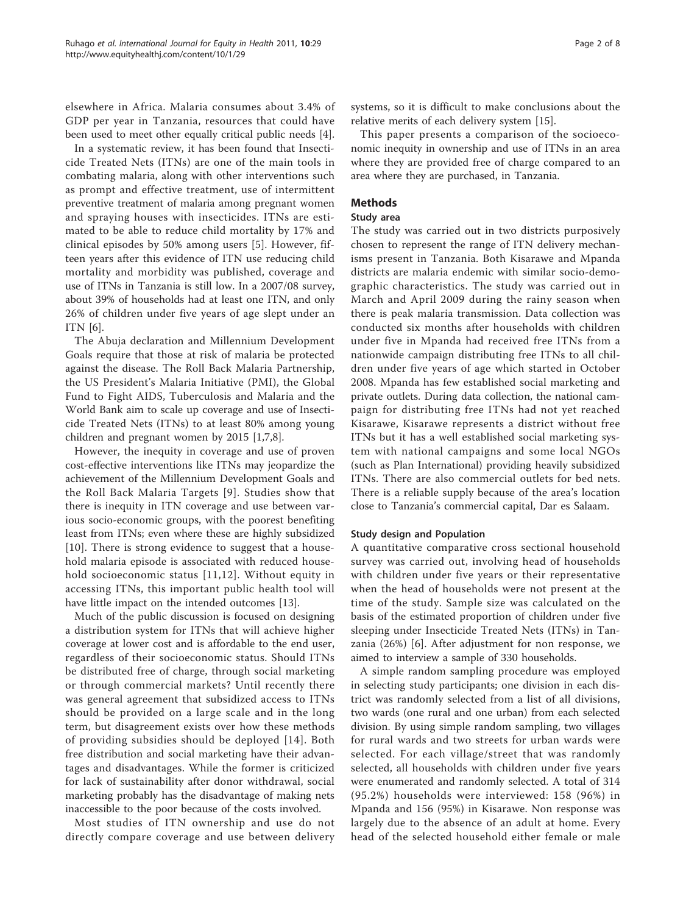elsewhere in Africa. Malaria consumes about 3.4% of GDP per year in Tanzania, resources that could have been used to meet other equally critical public needs [\[4](#page-7-0)].

In a systematic review, it has been found that Insecticide Treated Nets (ITNs) are one of the main tools in combating malaria, along with other interventions such as prompt and effective treatment, use of intermittent preventive treatment of malaria among pregnant women and spraying houses with insecticides. ITNs are estimated to be able to reduce child mortality by 17% and clinical episodes by 50% among users [[5\]](#page-7-0). However, fifteen years after this evidence of ITN use reducing child mortality and morbidity was published, coverage and use of ITNs in Tanzania is still low. In a 2007/08 survey, about 39% of households had at least one ITN, and only 26% of children under five years of age slept under an ITN [\[6](#page-7-0)].

The Abuja declaration and Millennium Development Goals require that those at risk of malaria be protected against the disease. The Roll Back Malaria Partnership, the US President's Malaria Initiative (PMI), the Global Fund to Fight AIDS, Tuberculosis and Malaria and the World Bank aim to scale up coverage and use of Insecticide Treated Nets (ITNs) to at least 80% among young children and pregnant women by 2015 [[1,7,8\]](#page-7-0).

However, the inequity in coverage and use of proven cost-effective interventions like ITNs may jeopardize the achievement of the Millennium Development Goals and the Roll Back Malaria Targets [[9](#page-7-0)]. Studies show that there is inequity in ITN coverage and use between various socio-economic groups, with the poorest benefiting least from ITNs; even where these are highly subsidized [[10](#page-7-0)]. There is strong evidence to suggest that a household malaria episode is associated with reduced household socioeconomic status [\[11,12\]](#page-7-0). Without equity in accessing ITNs, this important public health tool will have little impact on the intended outcomes [\[13](#page-7-0)].

Much of the public discussion is focused on designing a distribution system for ITNs that will achieve higher coverage at lower cost and is affordable to the end user, regardless of their socioeconomic status. Should ITNs be distributed free of charge, through social marketing or through commercial markets? Until recently there was general agreement that subsidized access to ITNs should be provided on a large scale and in the long term, but disagreement exists over how these methods of providing subsidies should be deployed [[14\]](#page-7-0). Both free distribution and social marketing have their advantages and disadvantages. While the former is criticized for lack of sustainability after donor withdrawal, social marketing probably has the disadvantage of making nets inaccessible to the poor because of the costs involved.

Most studies of ITN ownership and use do not directly compare coverage and use between delivery systems, so it is difficult to make conclusions about the relative merits of each delivery system [[15\]](#page-7-0).

This paper presents a comparison of the socioeconomic inequity in ownership and use of ITNs in an area where they are provided free of charge compared to an area where they are purchased, in Tanzania.

#### Methods

#### Study area

The study was carried out in two districts purposively chosen to represent the range of ITN delivery mechanisms present in Tanzania. Both Kisarawe and Mpanda districts are malaria endemic with similar socio-demographic characteristics. The study was carried out in March and April 2009 during the rainy season when there is peak malaria transmission. Data collection was conducted six months after households with children under five in Mpanda had received free ITNs from a nationwide campaign distributing free ITNs to all children under five years of age which started in October 2008. Mpanda has few established social marketing and private outlets. During data collection, the national campaign for distributing free ITNs had not yet reached Kisarawe, Kisarawe represents a district without free ITNs but it has a well established social marketing system with national campaigns and some local NGOs (such as Plan International) providing heavily subsidized ITNs. There are also commercial outlets for bed nets. There is a reliable supply because of the area's location close to Tanzania's commercial capital, Dar es Salaam.

#### Study design and Population

A quantitative comparative cross sectional household survey was carried out, involving head of households with children under five years or their representative when the head of households were not present at the time of the study. Sample size was calculated on the basis of the estimated proportion of children under five sleeping under Insecticide Treated Nets (ITNs) in Tanzania (26%) [\[6](#page-7-0)]. After adjustment for non response, we aimed to interview a sample of 330 households.

A simple random sampling procedure was employed in selecting study participants; one division in each district was randomly selected from a list of all divisions, two wards (one rural and one urban) from each selected division. By using simple random sampling, two villages for rural wards and two streets for urban wards were selected. For each village/street that was randomly selected, all households with children under five years were enumerated and randomly selected. A total of 314 (95.2%) households were interviewed: 158 (96%) in Mpanda and 156 (95%) in Kisarawe. Non response was largely due to the absence of an adult at home. Every head of the selected household either female or male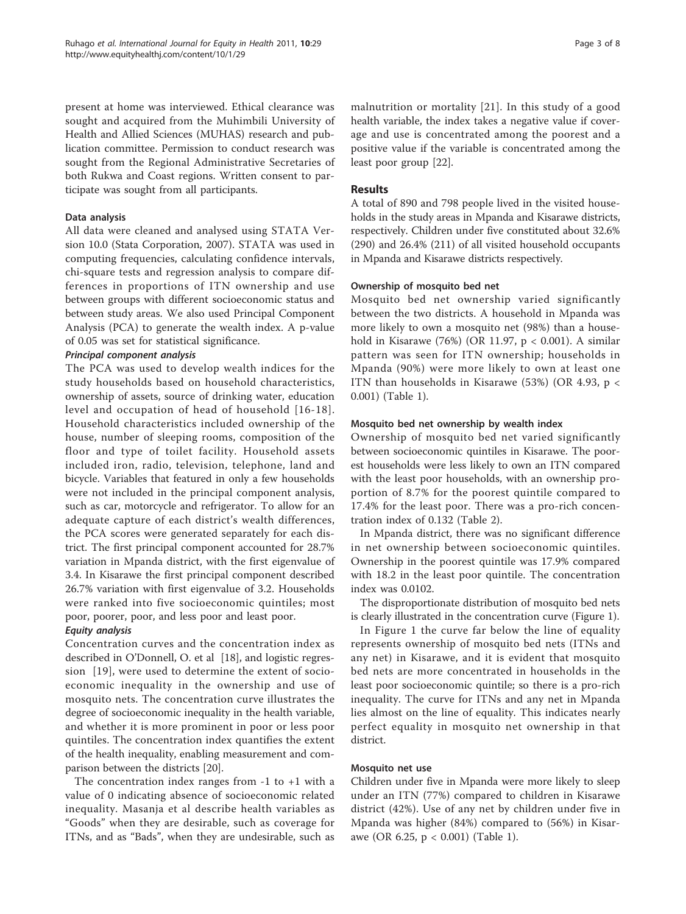present at home was interviewed. Ethical clearance was sought and acquired from the Muhimbili University of Health and Allied Sciences (MUHAS) research and publication committee. Permission to conduct research was sought from the Regional Administrative Secretaries of both Rukwa and Coast regions. Written consent to participate was sought from all participants.

#### Data analysis

All data were cleaned and analysed using STATA Version 10.0 (Stata Corporation, 2007). STATA was used in computing frequencies, calculating confidence intervals, chi-square tests and regression analysis to compare differences in proportions of ITN ownership and use between groups with different socioeconomic status and between study areas. We also used Principal Component Analysis (PCA) to generate the wealth index. A p-value of 0.05 was set for statistical significance.

#### Principal component analysis

The PCA was used to develop wealth indices for the study households based on household characteristics, ownership of assets, source of drinking water, education level and occupation of head of household [[16](#page-7-0)-[18\]](#page-7-0). Household characteristics included ownership of the house, number of sleeping rooms, composition of the floor and type of toilet facility. Household assets included iron, radio, television, telephone, land and bicycle. Variables that featured in only a few households were not included in the principal component analysis, such as car, motorcycle and refrigerator. To allow for an adequate capture of each district's wealth differences, the PCA scores were generated separately for each district. The first principal component accounted for 28.7% variation in Mpanda district, with the first eigenvalue of 3.4. In Kisarawe the first principal component described 26.7% variation with first eigenvalue of 3.2. Households were ranked into five socioeconomic quintiles; most poor, poorer, poor, and less poor and least poor.

#### Equity analysis

Concentration curves and the concentration index as described in O'Donnell, O. et al [[18\]](#page-7-0), and logistic regression [[19](#page-7-0)], were used to determine the extent of socioeconomic inequality in the ownership and use of mosquito nets. The concentration curve illustrates the degree of socioeconomic inequality in the health variable, and whether it is more prominent in poor or less poor quintiles. The concentration index quantifies the extent of the health inequality, enabling measurement and comparison between the districts [\[20](#page-7-0)].

The concentration index ranges from  $-1$  to  $+1$  with a value of 0 indicating absence of socioeconomic related inequality. Masanja et al describe health variables as "Goods" when they are desirable, such as coverage for ITNs, and as "Bads", when they are undesirable, such as Page 3 of 8

malnutrition or mortality [[21\]](#page-7-0). In this study of a good health variable, the index takes a negative value if coverage and use is concentrated among the poorest and a positive value if the variable is concentrated among the least poor group [[22\]](#page-7-0).

#### Results

A total of 890 and 798 people lived in the visited households in the study areas in Mpanda and Kisarawe districts, respectively. Children under five constituted about 32.6% (290) and 26.4% (211) of all visited household occupants in Mpanda and Kisarawe districts respectively.

#### Ownership of mosquito bed net

Mosquito bed net ownership varied significantly between the two districts. A household in Mpanda was more likely to own a mosquito net (98%) than a household in Kisarawe (76%) (OR 11.97, p < 0.001). A similar pattern was seen for ITN ownership; households in Mpanda (90%) were more likely to own at least one ITN than households in Kisarawe (53%) (OR 4.93, p < 0.001) (Table [1\)](#page-3-0).

#### Mosquito bed net ownership by wealth index

Ownership of mosquito bed net varied significantly between socioeconomic quintiles in Kisarawe. The poorest households were less likely to own an ITN compared with the least poor households, with an ownership proportion of 8.7% for the poorest quintile compared to 17.4% for the least poor. There was a pro-rich concentration index of 0.132 (Table [2](#page-3-0)).

In Mpanda district, there was no significant difference in net ownership between socioeconomic quintiles. Ownership in the poorest quintile was 17.9% compared with 18.2 in the least poor quintile. The concentration index was 0.0102.

The disproportionate distribution of mosquito bed nets is clearly illustrated in the concentration curve (Figure [1\)](#page-4-0).

In Figure [1](#page-4-0) the curve far below the line of equality represents ownership of mosquito bed nets (ITNs and any net) in Kisarawe, and it is evident that mosquito bed nets are more concentrated in households in the least poor socioeconomic quintile; so there is a pro-rich inequality. The curve for ITNs and any net in Mpanda lies almost on the line of equality. This indicates nearly perfect equality in mosquito net ownership in that district.

#### Mosquito net use

Children under five in Mpanda were more likely to sleep under an ITN (77%) compared to children in Kisarawe district (42%). Use of any net by children under five in Mpanda was higher (84%) compared to (56%) in Kisarawe (OR 6.25, p < 0.001) (Table [1\)](#page-3-0).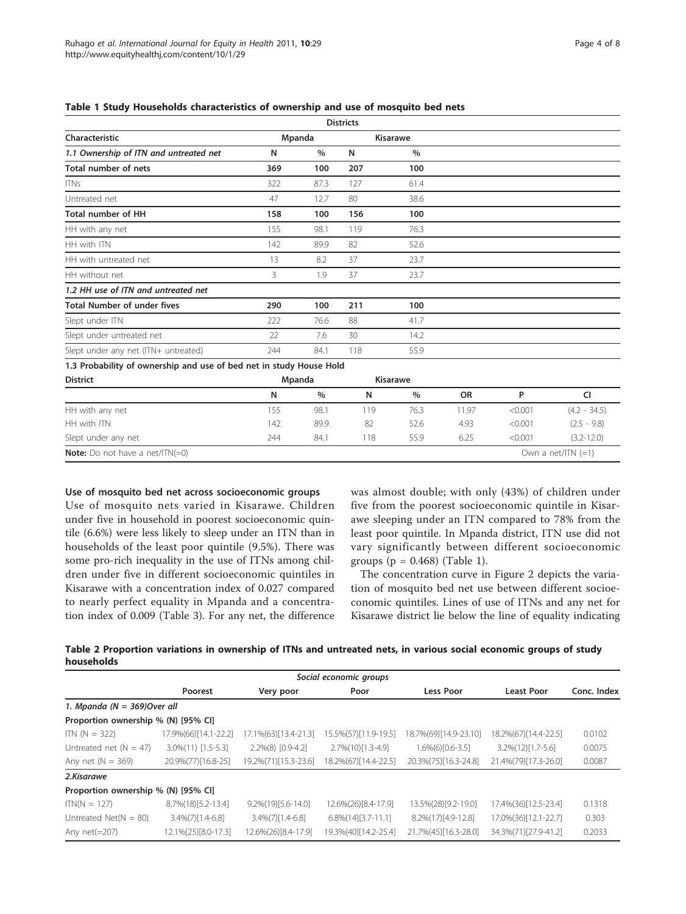| <b>Districts</b>                                                    |        |      |                 |                 |           |         |                |  |
|---------------------------------------------------------------------|--------|------|-----------------|-----------------|-----------|---------|----------------|--|
| Characteristic                                                      | Mpanda |      | <b>Kisarawe</b> |                 |           |         |                |  |
| 1.1 Ownership of ITN and untreated net                              | N      | %    | N               | $\%$            |           |         |                |  |
| <b>Total number of nets</b>                                         | 369    | 100  | 207             | 100             |           |         |                |  |
| <b>ITNs</b>                                                         | 322    | 87.3 | 127             | 61.4            |           |         |                |  |
| Untreated net                                                       | 47     | 12.7 | 80              | 38.6            |           |         |                |  |
| <b>Total number of HH</b>                                           | 158    | 100  | 156             | 100             |           |         |                |  |
| HH with any net                                                     | 155    | 98.1 | 119             | 76.3            |           |         |                |  |
| HH with ITN                                                         | 142    | 89.9 | 82              | 52.6            |           |         |                |  |
| HH with untreated net                                               | 13     | 8.2  | 37              | 23.7            |           |         |                |  |
| HH without net                                                      | 3      | 1.9  | 37              | 23.7            |           |         |                |  |
| 1.2 HH use of ITN and untreated net                                 |        |      |                 |                 |           |         |                |  |
| <b>Total Number of under fives</b>                                  | 290    | 100  | 211             | 100             |           |         |                |  |
| Slept under ITN                                                     | 222    | 76.6 | 88              | 41.7            |           |         |                |  |
| Slept under untreated net                                           | 22     | 7.6  | 30              | 14.2            |           |         |                |  |
| Slept under any net (ITN+ untreated)                                | 244    | 84.1 | 118             | 55.9            |           |         |                |  |
| 1.3 Probability of ownership and use of bed net in study House Hold |        |      |                 |                 |           |         |                |  |
| <b>District</b>                                                     | Mpanda |      |                 | <b>Kisarawe</b> |           |         |                |  |
|                                                                     | N      | %    | N               | $\%$            | <b>OR</b> | P       | CI             |  |
| HH with any net                                                     | 155    | 98.1 | 119             | 76.3            | 11.97     | < 0.001 | $(4.2 - 34.5)$ |  |

#### <span id="page-3-0"></span>Table 1 Study Households characteristics of ownership and use of mosquito bed nets

# HH with ITN 15 2.5 - 9.8) 2.5 - 9.8 (2.5 - 9.8) 2.5 - 9.8) 2.5 - 9.8) 2.5 - 9.8) 2.5 - 9.8 Slept under any net 244 84.1 118 55.9 6.25 <0.001 (3.2-12.0) Note: Do not have a net/ITN(=0) Own a net/ITN (=1)

#### Use of mosquito bed net across socioeconomic groups

Use of mosquito nets varied in Kisarawe. Children under five in household in poorest socioeconomic quintile (6.6%) were less likely to sleep under an ITN than in households of the least poor quintile (9.5%). There was some pro-rich inequality in the use of ITNs among children under five in different socioeconomic quintiles in Kisarawe with a concentration index of 0.027 compared to nearly perfect equality in Mpanda and a concentration index of 0.009 (Table [3\)](#page-4-0). For any net, the difference

was almost double; with only (43%) of children under five from the poorest socioeconomic quintile in Kisarawe sleeping under an ITN compared to 78% from the least poor quintile. In Mpanda district, ITN use did not vary significantly between different socioeconomic groups ( $p = 0.468$ ) (Table 1).

The concentration curve in Figure [2](#page-4-0) depicts the variation of mosquito bed net use between different socioeconomic quintiles. Lines of use of ITNs and any net for Kisarawe district lie below the line of equality indicating

| Table 2 Proportion variations in ownership of ITNs and untreated nets, in various social economic groups of study |  |  |  |  |  |
|-------------------------------------------------------------------------------------------------------------------|--|--|--|--|--|
| households                                                                                                        |  |  |  |  |  |

| Social economic groups              |                      |                       |                       |                       |                      |             |  |  |
|-------------------------------------|----------------------|-----------------------|-----------------------|-----------------------|----------------------|-------------|--|--|
|                                     | Poorest              | Very poor             | Poor                  | Less Poor             | <b>Least Poor</b>    | Conc. Index |  |  |
| 1. Mpanda ( $N = 369$ )Over all     |                      |                       |                       |                       |                      |             |  |  |
| Proportion ownership % (N) [95% CI] |                      |                       |                       |                       |                      |             |  |  |
| $ITN (N = 322)$                     | 17.9%(66)[14.1-22.2] | 17.1%(63)[13.4-21.3]  | 15.5%(57)[11.9-19.5]  | 18.7%(69)[14.9-23.10] | 18.2%(67)[14.4-22.5] | 0.0102      |  |  |
| Untreated net $(N = 47)$            | 3.0%(11) [1.5-5.3]   | 2.2%(8) [0.9-4.2]     | 2.7%(10)[1.3-4.9]     | 1.6%(6)[0.6-3.5]      | $3.2\%(12)[1.7-5.6]$ | 0.0075      |  |  |
| Any net $(N = 369)$                 | 20.9%(77)[16.8-25]   | 19.2%(71)[15.3-23.6]  | 18.2%(67)[14.4-22.5]  | 20.3%(75)[16.3-24.8]  | 21.4%(79)[17.3-26.0] | 0.0087      |  |  |
| 2.Kisarawe                          |                      |                       |                       |                       |                      |             |  |  |
| Proportion ownership % (N) [95% CI] |                      |                       |                       |                       |                      |             |  |  |
| $ITN(N = 127)$                      | 8.7%(18)[5.2-13.4]   | $9.2\%(19)[5.6-14.0]$ | 12.6%(26)[8.4-17.9]   | 13.5%(28)[9.2-19.0]   | 17.4%(36)[12.5-23.4] | 0.1318      |  |  |
| Untreated $Net(N = 80)$             | $3.4\%(7)[1.4-6.8]$  | $3.4\%(7)[1.4-6.8]$   | $6.8\%(14)[3.7-11.1]$ | 8.2%(17)[4.9-12.8]    | 17.0%(36)[12.1-22.7] | 0.303       |  |  |
| Any net $(=207)$                    | 12.1%[25)[8.0-17.3]  | 12.6%(26)[8.4-17.9]   | 19.3%(40)[14.2-25.4]  | 21.7%(45)[16.3-28.0]  | 34.3%(71)[27.9-41.2] | 0.2033      |  |  |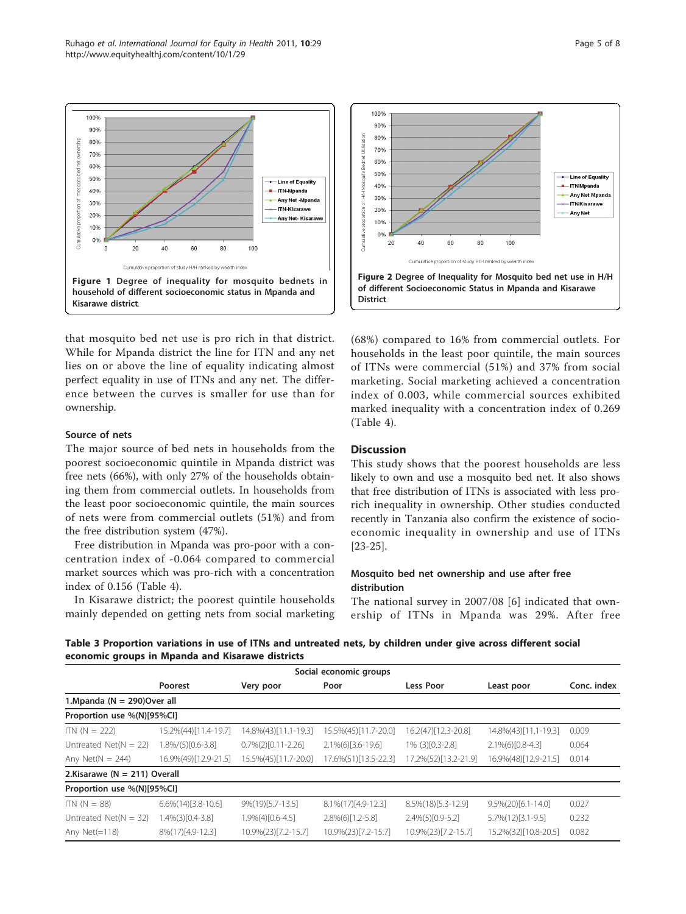<span id="page-4-0"></span>

that mosquito bed net use is pro rich in that district. While for Mpanda district the line for ITN and any net lies on or above the line of equality indicating almost perfect equality in use of ITNs and any net. The difference between the curves is smaller for use than for ownership.

#### Source of nets

The major source of bed nets in households from the poorest socioeconomic quintile in Mpanda district was free nets (66%), with only 27% of the households obtaining them from commercial outlets. In households from the least poor socioeconomic quintile, the main sources of nets were from commercial outlets (51%) and from the free distribution system (47%).

Free distribution in Mpanda was pro-poor with a concentration index of -0.064 compared to commercial market sources which was pro-rich with a concentration index of 0.156 (Table [4\)](#page-5-0).

In Kisarawe district; the poorest quintile households mainly depended on getting nets from social marketing



(68%) compared to 16% from commercial outlets. For households in the least poor quintile, the main sources of ITNs were commercial (51%) and 37% from social marketing. Social marketing achieved a concentration index of 0.003, while commercial sources exhibited marked inequality with a concentration index of 0.269 (Table [4\)](#page-5-0).

#### **Discussion**

This study shows that the poorest households are less likely to own and use a mosquito bed net. It also shows that free distribution of ITNs is associated with less prorich inequality in ownership. Other studies conducted recently in Tanzania also confirm the existence of socioeconomic inequality in ownership and use of ITNs [[23-25\]](#page-7-0).

#### Mosquito bed net ownership and use after free distribution

The national survey in 2007/08 [[6](#page-7-0)] indicated that ownership of ITNs in Mpanda was 29%. After free

Table 3 Proportion variations in use of ITNs and untreated nets, by children under give across different social economic groups in Mpanda and Kisarawe districts

| Social economic groups            |                       |                       |                       |                      |                       |             |  |  |  |
|-----------------------------------|-----------------------|-----------------------|-----------------------|----------------------|-----------------------|-------------|--|--|--|
|                                   | Poorest               | Very poor             | Poor                  | Less Poor            | Least poor            | Conc. index |  |  |  |
| 1. Mpanda ( $N = 290$ ) Over all  |                       |                       |                       |                      |                       |             |  |  |  |
| Proportion use %(N)[95%Cl]        |                       |                       |                       |                      |                       |             |  |  |  |
| $ITN (N = 222)$                   | 15.2%(44)[11.4-19.7]  | 14.8%(43)[11.1-19.3]  | 15.5%(45)[11.7-20.0]  | 16.2(47)[12.3-20.8]  | 14.8%(43)[11.1-19.3]  | 0.009       |  |  |  |
| Untreated Net( $N = 22$ )         | 1.8%/(5)[0.6-3.8]     | $0.7\%(2)[0.11-2.26]$ | 2.1%(6)[3.6-19.6]     | 1% (3) [0.3-2.8]     | $2.1\%(6)[0.8-4.3]$   | 0.064       |  |  |  |
| Any Net( $N = 244$ )              | 16.9%(49)[12.9-21.5]  | 15.5%(45)[11.7-20.0]  | 17.6%(51)[13.5-22.3]  | 17.2%(52)[13.2-21.9] | 16.9%(48)[12.9-21.5]  | 0.014       |  |  |  |
| 2. Kisarawe ( $N = 211$ ) Overall |                       |                       |                       |                      |                       |             |  |  |  |
| Proportion use %(N)[95%Cl]        |                       |                       |                       |                      |                       |             |  |  |  |
| $ITN (N = 88)$                    | $6.6\%(14)[3.8-10.6]$ | 9%(19)[5.7-13.5]      | $8.1\%(17)[4.9-12.3]$ | 8.5%(18)[5.3-12.9]   | $9.5\%(20)[6.1-14.0]$ | 0.027       |  |  |  |
| Untreated $Net(N = 32)$           | $1.4\%(3)[0.4-3.8]$   | 1.9%(4)[0.6-4.5]      | $2.8\%(6)[1.2-5.8]$   | $2.4\%(5)[0.9-5.2]$  | 5.7%(12)[3.1-9.5]     | 0.232       |  |  |  |
| Any $Net(=118)$                   | 8%(17)[4.9-12.3]      | 10.9%(23)[7.2-15.7]   | 10.9%(23)[7.2-15.7]   | 10.9%(23)[7.2-15.7]  | 15.2%(32)[10.8-20.5]  | 0.082       |  |  |  |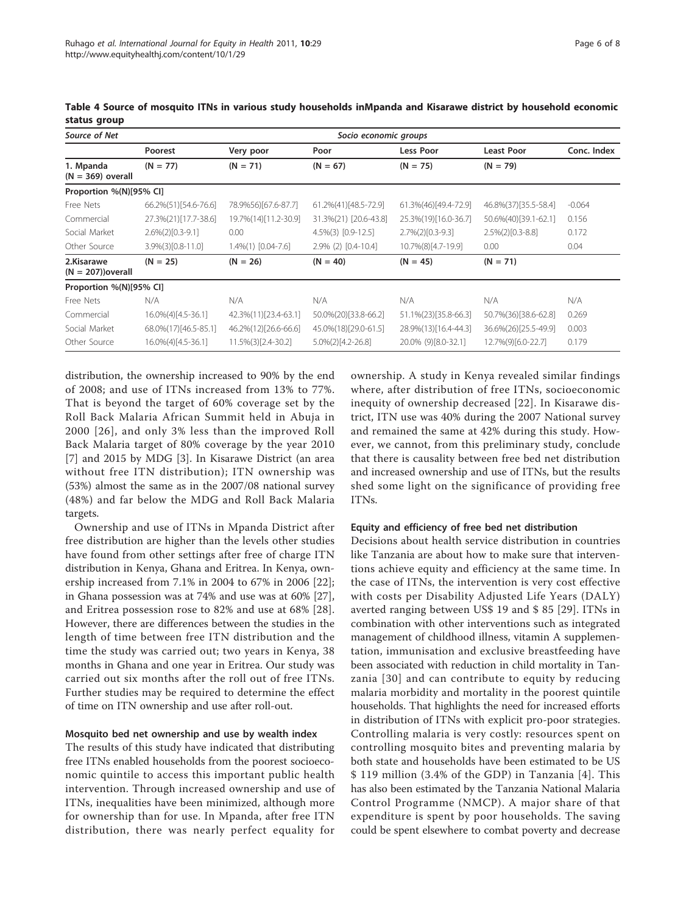| Source of Net                       |                      |                      | Socio economic groups |                      |                      |             |
|-------------------------------------|----------------------|----------------------|-----------------------|----------------------|----------------------|-------------|
|                                     | Poorest              | Very poor            | Poor                  | Less Poor            | <b>Least Poor</b>    | Conc. Index |
| 1. Mpanda<br>$(N = 369)$ overall    | $(N = 77)$           | $(N = 71)$           | $(N = 67)$            | $(N = 75)$           | $(N = 79)$           |             |
| Proportion %(N)[95% CI]             |                      |                      |                       |                      |                      |             |
| Free Nets                           | 66.2%(51)[54.6-76.6] | 78.9%56)[67.6-87.7]  | 61.2%(41)[48.5-72.9]  | 61.3%(46)[49.4-72.9] | 46.8%(37)[35.5-58.4] | $-0.064$    |
| Commercial                          | 27.3%(21)[17.7-38.6] | 19.7%(14)[11.2-30.9] | 31.3%(21) [20.6-43.8] | 25.3%(19)[16.0-36.7] | 50.6%(40)[39.1-62.1] | 0.156       |
| Social Market                       | $2.6\%(2)[0.3-9.1]$  | 0.00                 | $4.5\%(3)$ [0.9-12.5] | $2.7\%(2)[0.3-9.3]$  | $2.5\%(2)[0.3-8.8]$  | 0.172       |
| Other Source                        | $3.9\%(3)[0.8-11.0]$ | 1.4%(1) [0.04-7.6]   | 2.9% (2) [0.4-10.4]   | 10.7%(8)[4.7-19.9]   | 0.00                 | 0.04        |
| 2.Kisarawe<br>$(N = 207)$ ) overall | $(N = 25)$           | $(N = 26)$           | $(N = 40)$            | $(N = 45)$           | $(N = 71)$           |             |
| Proportion %(N)[95% CI]             |                      |                      |                       |                      |                      |             |
| Free Nets                           | N/A                  | N/A                  | N/A                   | N/A                  | N/A                  | N/A         |
| Commercial                          | 16.0%(4)[4.5-36.1]   | 42.3%(11)[23.4-63.1] | 50.0%(20)[33.8-66.2]  | 51.1%(23)[35.8-66.3] | 50.7%(36)[38.6-62.8] | 0.269       |
| Social Market                       | 68.0%(17)[46.5-85.1] | 46.2%(12)[26.6-66.6] | 45.0%(18)[29.0-61.5]  | 28.9%(13)[16.4-44.3] | 36.6%(26)[25.5-49.9] | 0.003       |
| Other Source                        | 16.0%(4)[4.5-36.1]   | 11.5%(3)[2.4-30.2]   | $5.0\%(2)[4.2-26.8]$  | 20.0% (9) [8.0-32.1] | 12.7%(9)[6.0-22.7]   | 0.179       |

<span id="page-5-0"></span>Table 4 Source of mosquito ITNs in various study households inMpanda and Kisarawe district by household economic status group

distribution, the ownership increased to 90% by the end of 2008; and use of ITNs increased from 13% to 77%. That is beyond the target of 60% coverage set by the Roll Back Malaria African Summit held in Abuja in 2000 [[26](#page-7-0)], and only 3% less than the improved Roll Back Malaria target of 80% coverage by the year 2010 [[7\]](#page-7-0) and 2015 by MDG [\[3](#page-7-0)]. In Kisarawe District (an area without free ITN distribution); ITN ownership was (53%) almost the same as in the 2007/08 national survey (48%) and far below the MDG and Roll Back Malaria targets.

Ownership and use of ITNs in Mpanda District after free distribution are higher than the levels other studies have found from other settings after free of charge ITN distribution in Kenya, Ghana and Eritrea. In Kenya, ownership increased from 7.1% in 2004 to 67% in 2006 [[22](#page-7-0)]; in Ghana possession was at 74% and use was at 60% [\[27](#page-7-0)], and Eritrea possession rose to 82% and use at 68% [[28](#page-7-0)]. However, there are differences between the studies in the length of time between free ITN distribution and the time the study was carried out; two years in Kenya, 38 months in Ghana and one year in Eritrea. Our study was carried out six months after the roll out of free ITNs. Further studies may be required to determine the effect of time on ITN ownership and use after roll-out.

#### Mosquito bed net ownership and use by wealth index

The results of this study have indicated that distributing free ITNs enabled households from the poorest socioeconomic quintile to access this important public health intervention. Through increased ownership and use of ITNs, inequalities have been minimized, although more for ownership than for use. In Mpanda, after free ITN distribution, there was nearly perfect equality for

ownership. A study in Kenya revealed similar findings where, after distribution of free ITNs, socioeconomic inequity of ownership decreased [[22](#page-7-0)]. In Kisarawe district, ITN use was 40% during the 2007 National survey and remained the same at 42% during this study. However, we cannot, from this preliminary study, conclude that there is causality between free bed net distribution and increased ownership and use of ITNs, but the results shed some light on the significance of providing free ITNs.

#### Equity and efficiency of free bed net distribution

Decisions about health service distribution in countries like Tanzania are about how to make sure that interventions achieve equity and efficiency at the same time. In the case of ITNs, the intervention is very cost effective with costs per Disability Adjusted Life Years (DALY) averted ranging between US\$ 19 and \$ 85 [\[29](#page-7-0)]. ITNs in combination with other interventions such as integrated management of childhood illness, vitamin A supplementation, immunisation and exclusive breastfeeding have been associated with reduction in child mortality in Tanzania [[30\]](#page-7-0) and can contribute to equity by reducing malaria morbidity and mortality in the poorest quintile households. That highlights the need for increased efforts in distribution of ITNs with explicit pro-poor strategies. Controlling malaria is very costly: resources spent on controlling mosquito bites and preventing malaria by both state and households have been estimated to be US \$ 119 million (3.4% of the GDP) in Tanzania [\[4\]](#page-7-0). This has also been estimated by the Tanzania National Malaria Control Programme (NMCP). A major share of that expenditure is spent by poor households. The saving could be spent elsewhere to combat poverty and decrease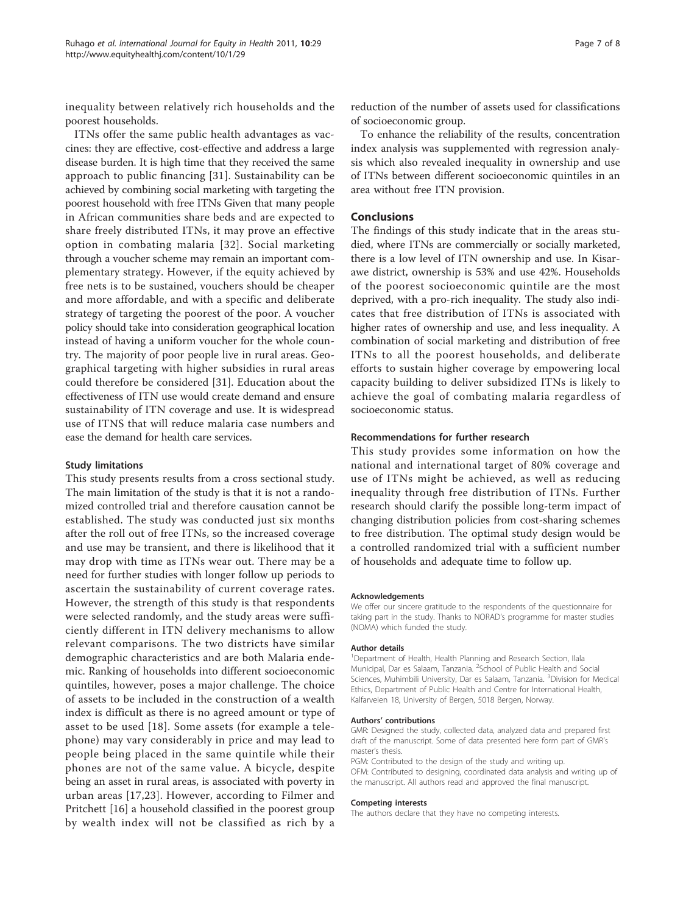inequality between relatively rich households and the poorest households.

ITNs offer the same public health advantages as vaccines: they are effective, cost-effective and address a large disease burden. It is high time that they received the same approach to public financing [[31\]](#page-7-0). Sustainability can be achieved by combining social marketing with targeting the poorest household with free ITNs Given that many people in African communities share beds and are expected to share freely distributed ITNs, it may prove an effective option in combating malaria [[32](#page-7-0)]. Social marketing through a voucher scheme may remain an important complementary strategy. However, if the equity achieved by free nets is to be sustained, vouchers should be cheaper and more affordable, and with a specific and deliberate strategy of targeting the poorest of the poor. A voucher policy should take into consideration geographical location instead of having a uniform voucher for the whole country. The majority of poor people live in rural areas. Geographical targeting with higher subsidies in rural areas could therefore be considered [[31\]](#page-7-0). Education about the effectiveness of ITN use would create demand and ensure sustainability of ITN coverage and use. It is widespread use of ITNS that will reduce malaria case numbers and ease the demand for health care services.

#### Study limitations

This study presents results from a cross sectional study. The main limitation of the study is that it is not a randomized controlled trial and therefore causation cannot be established. The study was conducted just six months after the roll out of free ITNs, so the increased coverage and use may be transient, and there is likelihood that it may drop with time as ITNs wear out. There may be a need for further studies with longer follow up periods to ascertain the sustainability of current coverage rates. However, the strength of this study is that respondents were selected randomly, and the study areas were sufficiently different in ITN delivery mechanisms to allow relevant comparisons. The two districts have similar demographic characteristics and are both Malaria endemic. Ranking of households into different socioeconomic quintiles, however, poses a major challenge. The choice of assets to be included in the construction of a wealth index is difficult as there is no agreed amount or type of asset to be used [[18](#page-7-0)]. Some assets (for example a telephone) may vary considerably in price and may lead to people being placed in the same quintile while their phones are not of the same value. A bicycle, despite being an asset in rural areas, is associated with poverty in urban areas [[17,23\]](#page-7-0). However, according to Filmer and Pritchett [\[16](#page-7-0)] a household classified in the poorest group by wealth index will not be classified as rich by a

reduction of the number of assets used for classifications of socioeconomic group.

To enhance the reliability of the results, concentration index analysis was supplemented with regression analysis which also revealed inequality in ownership and use of ITNs between different socioeconomic quintiles in an area without free ITN provision.

#### Conclusions

The findings of this study indicate that in the areas studied, where ITNs are commercially or socially marketed, there is a low level of ITN ownership and use. In Kisarawe district, ownership is 53% and use 42%. Households of the poorest socioeconomic quintile are the most deprived, with a pro-rich inequality. The study also indicates that free distribution of ITNs is associated with higher rates of ownership and use, and less inequality. A combination of social marketing and distribution of free ITNs to all the poorest households, and deliberate efforts to sustain higher coverage by empowering local capacity building to deliver subsidized ITNs is likely to achieve the goal of combating malaria regardless of socioeconomic status.

#### Recommendations for further research

This study provides some information on how the national and international target of 80% coverage and use of ITNs might be achieved, as well as reducing inequality through free distribution of ITNs. Further research should clarify the possible long-term impact of changing distribution policies from cost-sharing schemes to free distribution. The optimal study design would be a controlled randomized trial with a sufficient number of households and adequate time to follow up.

#### Acknowledgements

We offer our sincere gratitude to the respondents of the questionnaire for taking part in the study. Thanks to NORAD's programme for master studies (NOMA) which funded the study.

#### Author details

<sup>1</sup>Department of Health, Health Planning and Research Section, Ilala Municipal, Dar es Salaam, Tanzania. <sup>2</sup>School of Public Health and Social Sciences, Muhimbili University, Dar es Salaam, Tanzania. <sup>3</sup>Division for Medical Ethics, Department of Public Health and Centre for International Health, Kalfarveien 18, University of Bergen, 5018 Bergen, Norway.

#### Authors' contributions

GMR: Designed the study, collected data, analyzed data and prepared first draft of the manuscript. Some of data presented here form part of GMR's master's thesis.

PGM: Contributed to the design of the study and writing up. OFM: Contributed to designing, coordinated data analysis and writing up of the manuscript. All authors read and approved the final manuscript.

#### Competing interests

The authors declare that they have no competing interests.